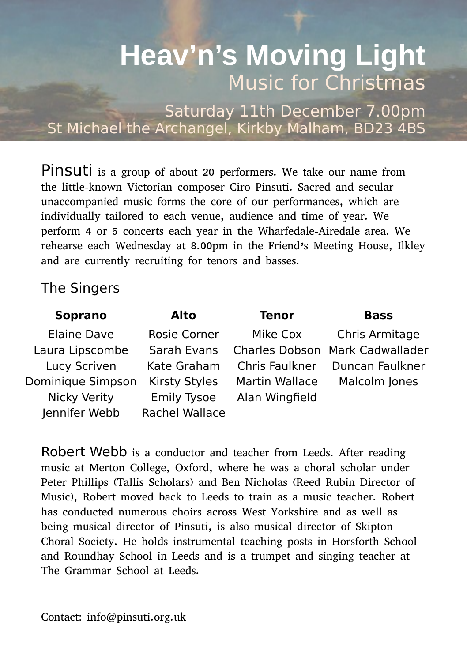# **Heav'n's Moving Light** Music for Christmas

Saturday 11th December 7.00pm St Michael the Archangel, Kirkby Malham, BD23 4BS

Pinsuti is a group of about 20 performers. We take our name from the little-known Victorian composer Ciro Pinsuti. Sacred and secular unaccompanied music forms the core of our performances, which are individually tailored to each venue, audience and time of year. We perform 4 or 5 concerts each year in the Wharfedale-Airedale area. We rehearse each Wednesday at 8.00pm in the Friend's Meeting House, Ilkley and are currently recruiting for tenors and basses.

### The Singers

| Soprano           | Alto                 | <b>Tenor</b>   | <b>Bass</b>                     |
|-------------------|----------------------|----------------|---------------------------------|
| Elaine Dave       | Rosie Corner         | Mike Cox       | Chris Armitage                  |
| Laura Lipscombe   | Sarah Evans          |                | Charles Dobson Mark Cadwallader |
| Lucy Scriven      | Kate Graham          | Chris Faulkner | Duncan Faulkner                 |
| Dominique Simpson | <b>Kirsty Styles</b> | Martin Wallace | Malcolm Jones                   |
| Nicky Verity      | <b>Emily Tysoe</b>   | Alan Wingfield |                                 |
| Jennifer Webb     | Rachel Wallace       |                |                                 |

Robert Webb is a conductor and teacher from Leeds. After reading music at Merton College, Oxford, where he was a choral scholar under Peter Phillips (Tallis Scholars) and Ben Nicholas (Reed Rubin Director of Music), Robert moved back to Leeds to train as a music teacher. Robert has conducted numerous choirs across West Yorkshire and as well as being musical director of Pinsuti, is also musical director of Skipton Choral Society. He holds instrumental teaching posts in Horsforth School and Roundhay School in Leeds and is a trumpet and singing teacher at The Grammar School at Leeds.

Contact: info@pinsuti.org.uk